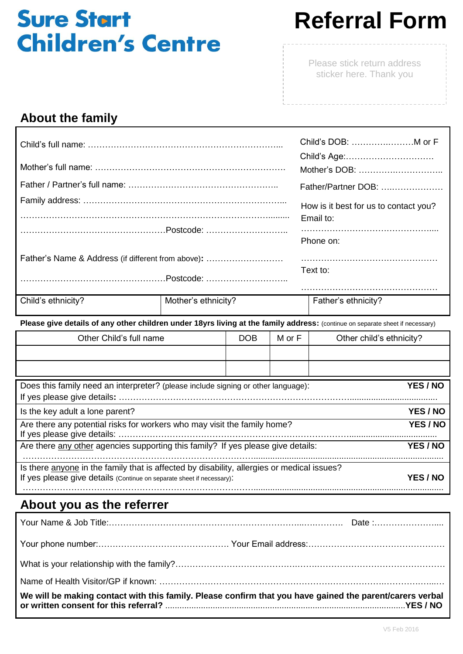## **Sure Start Children's Centre**

# **Referral Form**

Please stick return address sticker here. Thank you

### **About the family**

 $\Gamma$ 

|                                                                                                                               |                     |            | Child's DOB:  M or F |                                                    |  |  |
|-------------------------------------------------------------------------------------------------------------------------------|---------------------|------------|----------------------|----------------------------------------------------|--|--|
|                                                                                                                               |                     |            |                      |                                                    |  |  |
|                                                                                                                               |                     |            |                      | Father/Partner DOB:                                |  |  |
|                                                                                                                               |                     |            |                      | How is it best for us to contact you?<br>Email to: |  |  |
|                                                                                                                               |                     |            |                      | Phone on:                                          |  |  |
| Father's Name & Address (if different from above):                                                                            |                     |            |                      |                                                    |  |  |
|                                                                                                                               |                     |            |                      | Text to:                                           |  |  |
| Child's ethnicity?                                                                                                            | Mother's ethnicity? |            |                      | Father's ethnicity?                                |  |  |
| Please give details of any other children under 18yrs living at the family address: (continue on separate sheet if necessary) |                     |            |                      |                                                    |  |  |
| Other Child's full name                                                                                                       |                     | <b>DOB</b> | M or F               | Other child's ethnicity?                           |  |  |
|                                                                                                                               |                     |            |                      |                                                    |  |  |

| Does this family need an interpreter? (please include signing or other language):                                                                                   |  | <b>YES / NO</b> |                 |
|---------------------------------------------------------------------------------------------------------------------------------------------------------------------|--|-----------------|-----------------|
| Is the key adult a lone parent?                                                                                                                                     |  |                 | <b>YES / NO</b> |
| Are there any potential risks for workers who may visit the family home?                                                                                            |  | YES / NO        |                 |
| Are there any other agencies supporting this family? If yes please give details:                                                                                    |  |                 | <b>YES / NO</b> |
| Is there anyone in the family that is affected by disability, allergies or medical issues?<br>If yes please give details (Continue on separate sheet if necessary): |  |                 | <b>YES / NO</b> |
|                                                                                                                                                                     |  |                 |                 |

### **About you as the referrer**

| We will be making contact with this family. Please confirm that you have gained the parent/carers verbal |  |
|----------------------------------------------------------------------------------------------------------|--|